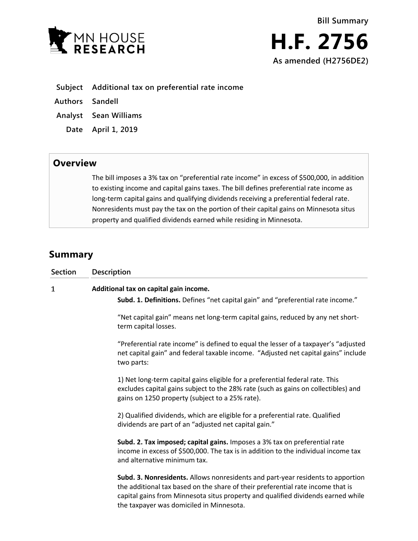



|  |  |  | Subject Additional tax on preferential rate income |  |  |
|--|--|--|----------------------------------------------------|--|--|
|--|--|--|----------------------------------------------------|--|--|

**Authors Sandell**

- **Analyst Sean Williams**
- **Date April 1, 2019**

## **Overview**

The bill imposes a 3% tax on "preferential rate income" in excess of \$500,000, in addition to existing income and capital gains taxes. The bill defines preferential rate income as long-term capital gains and qualifying dividends receiving a preferential federal rate. Nonresidents must pay the tax on the portion of their capital gains on Minnesota situs property and qualified dividends earned while residing in Minnesota.

## **Summary**

| <b>Section</b> | Description                                                                                                                                                                                                                                                                                        |  |  |  |  |
|----------------|----------------------------------------------------------------------------------------------------------------------------------------------------------------------------------------------------------------------------------------------------------------------------------------------------|--|--|--|--|
| $\mathbf{1}$   | Additional tax on capital gain income.<br>Subd. 1. Definitions. Defines "net capital gain" and "preferential rate income."                                                                                                                                                                         |  |  |  |  |
|                | "Net capital gain" means net long-term capital gains, reduced by any net short-<br>term capital losses.                                                                                                                                                                                            |  |  |  |  |
|                | "Preferential rate income" is defined to equal the lesser of a taxpayer's "adjusted<br>net capital gain" and federal taxable income. "Adjusted net capital gains" include<br>two parts:                                                                                                            |  |  |  |  |
|                | 1) Net long-term capital gains eligible for a preferential federal rate. This<br>excludes capital gains subject to the 28% rate (such as gains on collectibles) and<br>gains on 1250 property (subject to a 25% rate).                                                                             |  |  |  |  |
|                | 2) Qualified dividends, which are eligible for a preferential rate. Qualified<br>dividends are part of an "adjusted net capital gain."                                                                                                                                                             |  |  |  |  |
|                | Subd. 2. Tax imposed; capital gains. Imposes a 3% tax on preferential rate<br>income in excess of \$500,000. The tax is in addition to the individual income tax<br>and alternative minimum tax.                                                                                                   |  |  |  |  |
|                | Subd. 3. Nonresidents. Allows nonresidents and part-year residents to apportion<br>the additional tax based on the share of their preferential rate income that is<br>capital gains from Minnesota situs property and qualified dividends earned while<br>the taxpayer was domiciled in Minnesota. |  |  |  |  |